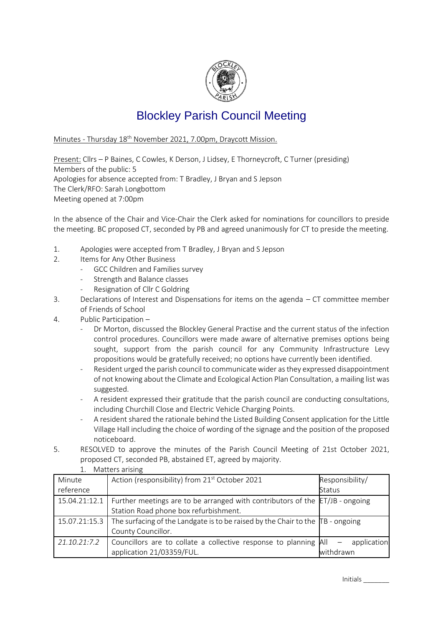

## Blockley Parish Council Meeting

Minutes - Thursday 18th November 2021, 7.00pm, Draycott Mission.

Present: Cllrs – P Baines, C Cowles, K Derson, J Lidsey, E Thorneycroft, C Turner (presiding) Members of the public: 5 Apologies for absence accepted from: T Bradley, J Bryan and S Jepson The Clerk/RFO: Sarah Longbottom Meeting opened at 7:00pm

In the absence of the Chair and Vice-Chair the Clerk asked for nominations for councillors to preside the meeting. BC proposed CT, seconded by PB and agreed unanimously for CT to preside the meeting.

- 1. Apologies were accepted from T Bradley, J Bryan and S Jepson
- 2. Items for Any Other Business
	- GCC Children and Families survey
	- Strength and Balance classes
	- Resignation of Cllr C Goldring
- 3. Declarations of Interest and Dispensations for items on the agenda CT committee member of Friends of School
- 4. Public Participation
	- Dr Morton, discussed the Blockley General Practise and the current status of the infection control procedures. Councillors were made aware of alternative premises options being sought, support from the parish council for any Community Infrastructure Levy propositions would be gratefully received; no options have currently been identified.
	- Resident urged the parish council to communicate wider as they expressed disappointment of not knowing about the Climate and Ecological Action Plan Consultation, a mailing list was suggested.
	- A resident expressed their gratitude that the parish council are conducting consultations, including Churchill Close and Electric Vehicle Charging Points.
	- A resident shared the rationale behind the Listed Building Consent application for the Little Village Hall including the choice of wording of the signage and the position of the proposed noticeboard.
- 5. RESOLVED to approve the minutes of the Parish Council Meeting of 21st October 2021, proposed CT, seconded PB, abstained ET, agreed by majority.

| Matters arising<br>1. |                                                                                             |                 |  |
|-----------------------|---------------------------------------------------------------------------------------------|-----------------|--|
| Minute                | Action (responsibility) from 21 <sup>st</sup> October 2021                                  | Responsibility/ |  |
| reference             |                                                                                             | Status          |  |
| 15.04.21:12.1         | Further meetings are to be arranged with contributors of the ET/JB - ongoing                |                 |  |
|                       | Station Road phone box refurbishment.                                                       |                 |  |
| 15.07.21:15.3         | The surfacing of the Landgate is to be raised by the Chair to the $\overline{TB}$ - ongoing |                 |  |
|                       | County Councillor.                                                                          |                 |  |
| 21.10.21:7.2          | Councillors are to collate a collective response to planning All                            | application     |  |
|                       | application 21/03359/FUL.                                                                   | withdrawn       |  |

Initials \_\_\_\_\_\_\_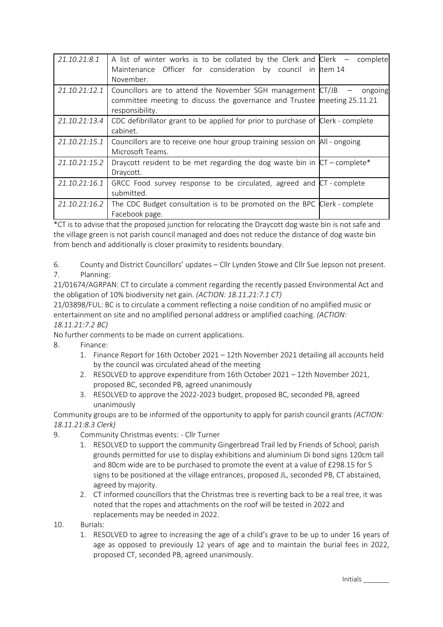| 21.10.21:8.1  | A list of winter works is to be collated by the Clerk and Clerk $-$ complete<br>Maintenance Officer for consideration by council in item 14<br>November.   |             |
|---------------|------------------------------------------------------------------------------------------------------------------------------------------------------------|-------------|
| 21.10.21:12.1 | Councillors are to attend the November SGH management CT/JB<br>committee meeting to discuss the governance and Trustee meeting 25.11.21<br>responsibility. | $-$ ongoing |
| 21.10.21:13.4 | CDC defibrillator grant to be applied for prior to purchase of Clerk - complete<br>cabinet.                                                                |             |
| 21.10.21:15.1 | Councillors are to receive one hour group training session on All - ongoing<br>Microsoft Teams.                                                            |             |
| 21.10.21:15.2 | Draycott resident to be met regarding the dog waste bin in $CT$ - complete*<br>Draycott.                                                                   |             |
| 21.10.21:16.1 | GRCC Food survey response to be circulated, agreed and CT - complete<br>submitted.                                                                         |             |
| 21.10.21:16.2 | The CDC Budget consultation is to be promoted on the BPC Clerk - complete<br>Facebook page.                                                                |             |

\*CT is to advise that the proposed junction for relocating the Draycott dog waste bin is not safe and the village green is not parish council managed and does not reduce the distance of dog waste bin from bench and additionally is closer proximity to residents boundary.

6. County and District Councillors' updates – Cllr Lynden Stowe and Cllr Sue Jepson not present. 7. Planning:

21/01674/AGRPAN: CT to circulate a comment regarding the recently passed Environmental Act and the obligation of 10% biodiversity net gain. *(ACTION: 18.11.21:7.1 CT)*

21/03898/FUL: BC is to circulate a comment reflecting a noise condition of no amplified music or entertainment on site and no amplified personal address or amplified coaching. *(ACTION: 18.11.21:7.2 BC)*

No further comments to be made on current applications.

- 8. Finance:
	- 1. Finance Report for 16th October 2021 12th November 2021 detailing all accounts held by the council was circulated ahead of the meeting
	- 2. RESOLVED to approve expenditure from 16th October 2021 12th November 2021, proposed BC, seconded PB, agreed unanimously
	- 3. RESOLVED to approve the 2022-2023 budget, proposed BC, seconded PB, agreed unanimously

Community groups are to be informed of the opportunity to apply for parish council grants *(ACTION: 18.11.21:8.3 Clerk)*

- 9. Community Christmas events: Cllr Turner
	- 1. RESOLVED to support the community Gingerbread Trail led by Friends of School; parish grounds permitted for use to display exhibitions and aluminium Di bond signs 120cm tall and 80cm wide are to be purchased to promote the event at a value of £298.15 for 5 signs to be positioned at the village entrances, proposed JL, seconded PB, CT abstained, agreed by majority.
	- 2. CT informed councillors that the Christmas tree is reverting back to be a real tree, it was noted that the ropes and attachments on the roof will be tested in 2022 and replacements may be needed in 2022.
- 10. Burials:
	- 1. RESOLVED to agree to increasing the age of a child's grave to be up to under 16 years of age as opposed to previously 12 years of age and to maintain the burial fees in 2022, proposed CT, seconded PB, agreed unanimously.

Initials \_\_\_\_\_\_\_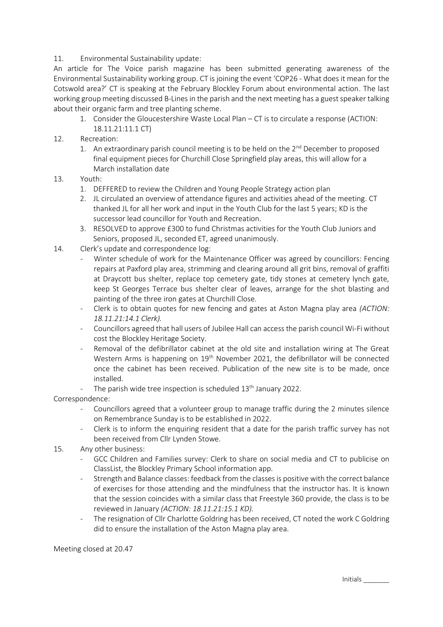## 11. Environmental Sustainability update:

An article for The Voice parish magazine has been submitted generating awareness of the Environmental Sustainability working group. CT is joining the event 'COP26 - What does it mean for the Cotswold area?' CT is speaking at the February Blockley Forum about environmental action. The last working group meeting discussed B-Lines in the parish and the next meeting has a guest speaker talking about their organic farm and tree planting scheme.

- 1. Consider the Gloucestershire Waste Local Plan CT is to circulate a response (ACTION: 18.11.21:11.1 CT)
- 12. Recreation:
	- 1. An extraordinary parish council meeting is to be held on the  $2<sup>nd</sup>$  December to proposed final equipment pieces for Churchill Close Springfield play areas, this will allow for a March installation date
- 13. Youth:
	- 1. DEFFERED to review the Children and Young People Strategy action plan
	- 2. JL circulated an overview of attendance figures and activities ahead of the meeting. CT thanked JL for all her work and input in the Youth Club for the last 5 years; KD is the successor lead councillor for Youth and Recreation.
	- 3. RESOLVED to approve £300 to fund Christmas activities for the Youth Club Juniors and Seniors, proposed JL, seconded ET, agreed unanimously.
- 14. Clerk's update and correspondence log:
	- Winter schedule of work for the Maintenance Officer was agreed by councillors: Fencing repairs at Paxford play area, strimming and clearing around all grit bins, removal of graffiti at Draycott bus shelter, replace top cemetery gate, tidy stones at cemetery lynch gate, keep St Georges Terrace bus shelter clear of leaves, arrange for the shot blasting and painting of the three iron gates at Churchill Close.
	- Clerk is to obtain quotes for new fencing and gates at Aston Magna play area *(ACTION: 18.11.21:14.1 Clerk).*
	- Councillors agreed that hall users of Jubilee Hall can access the parish council Wi-Fi without cost the Blockley Heritage Society.
	- Removal of the defibrillator cabinet at the old site and installation wiring at The Great Western Arms is happening on 19<sup>th</sup> November 2021, the defibrillator will be connected once the cabinet has been received. Publication of the new site is to be made, once installed.
	- The parish wide tree inspection is scheduled 13<sup>th</sup> January 2022.

Correspondence:

- Councillors agreed that a volunteer group to manage traffic during the 2 minutes silence on Remembrance Sunday is to be established in 2022.
- Clerk is to inform the enquiring resident that a date for the parish traffic survey has not been received from Cllr Lynden Stowe.
- 15. Any other business:
	- GCC Children and Families survey: Clerk to share on social media and CT to publicise on ClassList, the Blockley Primary School information app.
	- Strength and Balance classes: feedback from the classes is positive with the correct balance of exercises for those attending and the mindfulness that the instructor has. It is known that the session coincides with a similar class that Freestyle 360 provide, the class is to be reviewed in January *(ACTION: 18.11.21:15.1 KD).*
	- The resignation of Cllr Charlotte Goldring has been received, CT noted the work C Goldring did to ensure the installation of the Aston Magna play area.

Meeting closed at 20.47